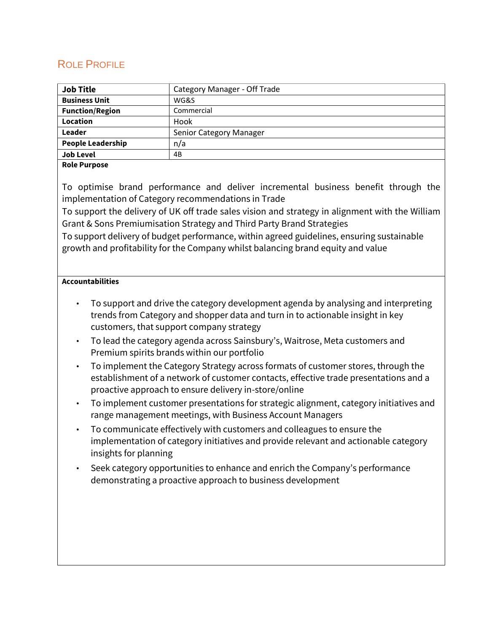# ROLE PROFILE

| <b>Job Title</b>         | Category Manager - Off Trade |  |
|--------------------------|------------------------------|--|
| <b>Business Unit</b>     | WG&S                         |  |
| <b>Function/Region</b>   | Commercial                   |  |
| Location                 | Hook                         |  |
| Leader                   | Senior Category Manager      |  |
| <b>People Leadership</b> | n/a                          |  |
| <b>Job Level</b>         | 4B                           |  |
|                          |                              |  |

## **Role Purpose**

To optimise brand performance and deliver incremental business benefit through the implementation of Category recommendations in Trade

To support the delivery of UK off trade sales vision and strategy in alignment with the William Grant & Sons Premiumisation Strategy and Third Party Brand Strategies

To support delivery of budget performance, within agreed guidelines, ensuring sustainable growth and profitability for the Company whilst balancing brand equity and value

# **Accountabilities**

- To support and drive the category development agenda by analysing and interpreting trends from Category and shopper data and turn in to actionable insight in key customers, that support company strategy
- To lead the category agenda across Sainsbury's, Waitrose, Meta customers and Premium spirits brands within our portfolio
- To implement the Category Strategy across formats of customer stores, through the establishment of a network of customer contacts, effective trade presentations and a proactive approach to ensure delivery in-store/online
- To implement customer presentations for strategic alignment, category initiatives and range management meetings, with Business Account Managers
- To communicate effectively with customers and colleagues to ensure the implementation of category initiatives and provide relevant and actionable category insights for planning
- Seek category opportunities to enhance and enrich the Company's performance demonstrating a proactive approach to business development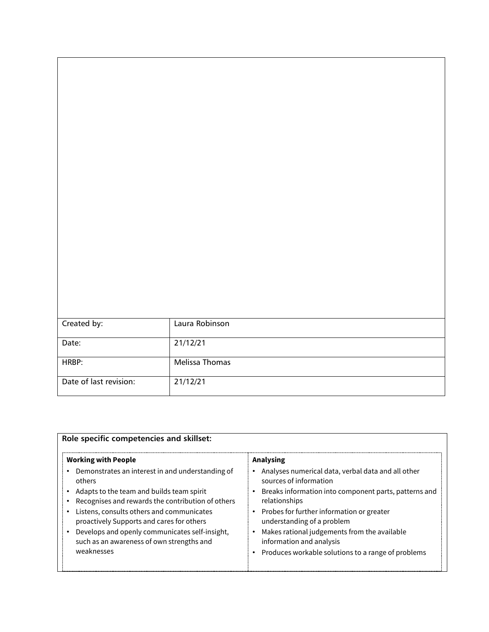| Created by:            | Laura Robinson |
|------------------------|----------------|
| Date:                  | 21/12/21       |
|                        |                |
| HRBP:                  | Melissa Thomas |
|                        |                |
| Date of last revision: | 21/12/21       |
|                        |                |

| <b>Working with People</b>                                                                                                                                                                                                                                                                                                                                          | Analysing                                                                                                                                                                                                                                                                                                                                                                                                  |  |
|---------------------------------------------------------------------------------------------------------------------------------------------------------------------------------------------------------------------------------------------------------------------------------------------------------------------------------------------------------------------|------------------------------------------------------------------------------------------------------------------------------------------------------------------------------------------------------------------------------------------------------------------------------------------------------------------------------------------------------------------------------------------------------------|--|
| Demonstrates an interest in and understanding of<br>others<br>Adapts to the team and builds team spirit<br>Recognises and rewards the contribution of others<br>Listens, consults others and communicates<br>proactively Supports and cares for others<br>Develops and openly communicates self-insight,<br>such as an awareness of own strengths and<br>weaknesses | Analyses numerical data, verbal data and all other<br>sources of information<br>Breaks information into component parts, patterns and<br>relationships<br>Probes for further information or greater<br>$\bullet$<br>understanding of a problem<br>Makes rational judgements from the available<br>$\bullet$<br>information and analysis<br>Produces workable solutions to a range of problems<br>$\bullet$ |  |